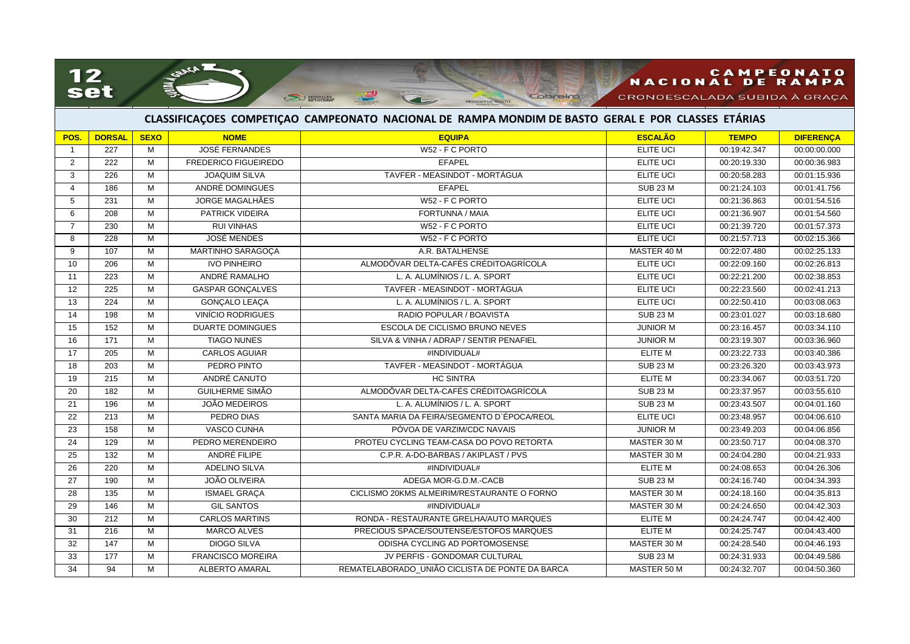## 12<br>set

SAACA

## NACIONAL DE RAMPA

CRONOESCALADA SUBIDA À GRAÇA

## **CLASSIFICAÇOES COMPETIÇAO CAMPEONATO NACIONAL DE RAMPA MONDIM DE BASTO GERAL E POR CLASSES ETÁRIAS**

MONDIM DE BASTO

Cobreiro

<u>୍ରସ</u>

**CEO ENTRANA** 

| POS.            | <b>DORSAL</b>    | <b>SEXO</b>    | <b>NOME</b>                 | <b>EQUIPA</b>                                   | <b>ESCALÃO</b>   | <b>TEMPO</b> | <b>DIFERENÇA</b> |
|-----------------|------------------|----------------|-----------------------------|-------------------------------------------------|------------------|--------------|------------------|
| $\overline{1}$  | 227              | M              | <b>JOSÉ FERNANDES</b>       | W52 - F C PORTO                                 | <b>ELITE UCI</b> | 00:19:42.347 | 00:00:00.000     |
| 2               | 222              | M              | <b>FREDERICO FIGUEIREDO</b> | <b>EFAPEL</b>                                   | <b>ELITE UCI</b> | 00:20:19.330 | 00:00:36.983     |
| 3               | 226              | M              | <b>JOAQUIM SILVA</b>        | TAVFER - MEASINDOT - MORTÁGUA                   | <b>ELITE UCI</b> | 00:20:58.283 | 00:01:15.936     |
| 4               | 186              | M              | ANDRÉ DOMINGUES             | <b>EFAPEL</b>                                   | <b>SUB 23 M</b>  | 00:21:24.103 | 00:01:41.756     |
| 5               | 231              | M              | <b>JORGE MAGALHÃES</b>      | W52 - F C PORTO                                 | ELITE UCI        | 00:21:36.863 | 00:01:54.516     |
| 6               | 208              | M              | <b>PATRICK VIDEIRA</b>      | FORTUNNA / MAIA                                 | <b>ELITE UCI</b> | 00:21:36.907 | 00:01:54.560     |
| $\overline{7}$  | 230              | M              | <b>RUI VINHAS</b>           | W52 - F C PORTO                                 | ELITE UCI        | 00:21:39.720 | 00:01:57.373     |
| 8               | 228              | M              | <b>JOSÉ MENDES</b>          | W52 - F C PORTO                                 | ELITE UCI        | 00:21:57.713 | 00:02:15.366     |
| 9               | 107              | M              | MARTINHO SARAGOÇA           | A.R. BATALHENSE                                 | MASTER 40 M      | 00:22:07.480 | 00:02:25.133     |
| 10              | 206              | M              | <b>IVO PINHEIRO</b>         | ALMODÔVAR DELTA-CAFÉS CRÉDITOAGRÍCOLA           | ELITE UCI        | 00:22:09.160 | 00:02:26.813     |
| 11              | 223              | M              | ANDRÉ RAMALHO               | L. A. ALUMÍNIOS / L. A. SPORT                   | <b>ELITE UCI</b> | 00:22:21.200 | 00:02:38.853     |
| 12              | 225              | M              | <b>GASPAR GONÇALVES</b>     | TAVFER - MEASINDOT - MORTÁGUA                   | ELITE UCI        | 00:22:23.560 | 00:02:41.213     |
| 13              | 224              | M              | GONÇALO LEAÇA               | L. A. ALUMÍNIOS / L. A. SPORT                   | ELITE UCI        | 00:22:50.410 | 00:03:08.063     |
| 14              | 198              | M              | <b>VINÍCIO RODRIGUES</b>    | RADIO POPULAR / BOAVISTA                        | <b>SUB 23 M</b>  | 00:23:01.027 | 00:03:18.680     |
| 15              | 152              | M              | <b>DUARTE DOMINGUES</b>     | ESCOLA DE CICLISMO BRUNO NEVES                  | <b>JUNIOR M</b>  | 00:23:16.457 | 00:03:34.110     |
| 16              | 171              | M              | <b>TIAGO NUNES</b>          | SILVA & VINHA / ADRAP / SENTIR PENAFIEL         | <b>JUNIOR M</b>  | 00:23:19.307 | 00:03:36.960     |
| $\overline{17}$ | 205              | M              | <b>CARLOS AGUIAR</b>        | #INDIVIDUAL#                                    | <b>ELITE M</b>   | 00:23:22.733 | 00:03:40.386     |
| 18              | 203              | M              | PEDRO PINTO                 | TAVFER - MEASINDOT - MORTÁGUA                   | <b>SUB 23 M</b>  | 00:23:26.320 | 00:03:43.973     |
| 19              | $\overline{215}$ | M              | ANDRÉ CANUTO                | <b>HC SINTRA</b>                                | <b>ELITE M</b>   | 00:23:34.067 | 00:03:51.720     |
| 20              | 182              | M              | <b>GUILHERME SIMÃO</b>      | ALMODÔVAR DELTA-CAFÉS CRÉDITOAGRÍCOLA           | <b>SUB 23 M</b>  | 00:23:37.957 | 00:03:55.610     |
| 21              | 196              | M              | <b>JOÃO MEDEIROS</b>        | L. A. ALUMÍNIOS / L. A. SPORT                   | <b>SUB 23 M</b>  | 00:23:43.507 | 00:04:01.160     |
| $\overline{22}$ | 213              | M              | PEDRO DIAS                  | SANTA MARIA DA FEIRA/SEGMENTO D'ÉPOCA/REOL      | <b>ELITE UCI</b> | 00:23:48.957 | 00:04:06.610     |
| 23              | 158              | M              | VASCO CUNHA                 | PÓVOA DE VARZIM/CDC NAVAIS                      | <b>JUNIOR M</b>  | 00:23:49.203 | 00:04:06.856     |
| 24              | 129              | M              | PEDRO MERENDEIRO            | PROTEU CYCLING TEAM-CASA DO POVO RETORTA        | MASTER 30 M      | 00:23:50.717 | 00:04:08.370     |
| 25              | 132              | M              | ANDRÉ FILIPE                | C.P.R. A-DO-BARBAS / AKIPLAST / PVS             | MASTER 30 M      | 00:24:04.280 | 00:04:21.933     |
| 26              | 220              | M              | <b>ADELINO SILVA</b>        | #INDIVIDUAL#                                    | ELITE M          | 00:24:08.653 | 00:04:26.306     |
| 27              | 190              | M              | JOÃO OLIVEIRA               | ADEGA MOR-G.D.M.-CACB                           | <b>SUB 23 M</b>  | 00:24:16.740 | 00:04:34.393     |
| 28              | 135              | M              | <b>ISMAEL GRAÇA</b>         | CICLISMO 20KMS ALMEIRIM/RESTAURANTE O FORNO     | MASTER 30 M      | 00:24:18.160 | 00:04:35.813     |
| 29              | 146              | M              | <b>GIL SANTOS</b>           | #INDIVIDUAL#                                    | MASTER 30 M      | 00:24:24.650 | 00:04:42.303     |
| 30              | $\overline{212}$ | $\overline{M}$ | <b>CARLOS MARTINS</b>       | RONDA - RESTAURANTE GRELHA/AUTO MARQUES         | ELITE M          | 00:24:24.747 | 00:04:42.400     |
| 31              | 216              | M              | <b>MARCO ALVES</b>          | PRECIOUS SPACE/SOUTENSE/ESTOFOS MARQUES         | <b>ELITE M</b>   | 00:24:25.747 | 00:04:43.400     |
| 32              | 147              | M              | <b>DIOGO SILVA</b>          | ODISHA CYCLING AD PORTOMOSENSE                  | MASTER 30 M      | 00:24:28.540 | 00:04:46.193     |
| 33              | 177              | M              | <b>FRANCISCO MOREIRA</b>    | JV PERFIS - GONDOMAR CULTURAL                   | <b>SUB 23 M</b>  | 00:24:31.933 | 00:04:49.586     |
| 34              | 94               | M              | <b>ALBERTO AMARAL</b>       | REMATELABORADO UNIÃO CICLISTA DE PONTE DA BARCA | MASTER 50 M      | 00:24:32.707 | 00:04:50.360     |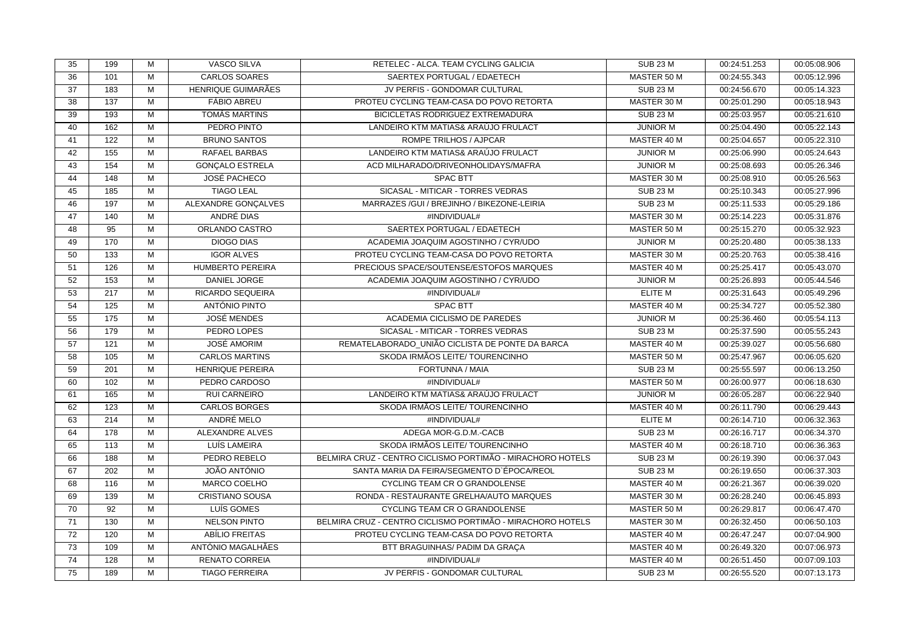| 35              | 199              | M              | <b>VASCO SILVA</b>      | RETELEC - ALCA. TEAM CYCLING GALICIA                       | <b>SUB 23 M</b> | 00:24:51.253 | 00:05:08.906 |
|-----------------|------------------|----------------|-------------------------|------------------------------------------------------------|-----------------|--------------|--------------|
| 36              | 101              | M              | <b>CARLOS SOARES</b>    | SAERTEX PORTUGAL / EDAETECH                                | MASTER 50 M     | 00:24:55.343 | 00:05:12.996 |
| 37              | 183              | M              | HENRIQUE GUIMARÃES      | JV PERFIS - GONDOMAR CULTURAL                              | <b>SUB 23 M</b> | 00:24:56.670 | 00:05:14.323 |
| 38              | 137              | M              | <b>FÁBIO ABREU</b>      | PROTEU CYCLING TEAM-CASA DO POVO RETORTA                   | MASTER 30 M     | 00:25:01.290 | 00:05:18.943 |
| 39              | 193              | M              | TOMÁS MARTINS           | BICICLETAS RODRIGUEZ EXTREMADURA                           | <b>SUB 23 M</b> | 00:25:03.957 | 00:05:21.610 |
| 40              | 162              | M              | PEDRO PINTO             | LANDEIRO KTM MATIAS& ARAÚJO FRULACT                        | <b>JUNIOR M</b> | 00:25:04.490 | 00:05:22.143 |
| 41              | 122              | $\overline{M}$ | <b>BRUNO SANTOS</b>     | ROMPE TRILHOS / AJPCAR                                     | MASTER 40 M     | 00:25:04.657 | 00:05:22.310 |
| 42              | 155              | M              | RAFAEL BARBAS           | LANDEIRO KTM MATIAS& ARAÚJO FRULACT                        | <b>JUNIOR M</b> | 00:25:06.990 | 00:05:24.643 |
| 43              | 154              | M              | <b>GONÇALO ESTRELA</b>  | ACD MILHARADO/DRIVEONHOLIDAYS/MAFRA                        | <b>JUNIOR M</b> | 00:25:08.693 | 00:05:26.346 |
| 44              | 148              | M              | <b>JOSÉ PACHECO</b>     | <b>SPAC BTT</b>                                            | MASTER 30 M     | 00:25:08.910 | 00:05:26.563 |
| 45              | 185              | M              | <b>TIAGO LEAL</b>       | SICASAL - MITICAR - TORRES VEDRAS                          | <b>SUB 23 M</b> | 00:25:10.343 | 00:05:27.996 |
| 46              | 197              | M              | ALEXANDRE GONÇALVES     | MARRAZES / GUI / BREJINHO / BIKEZONE-LEIRIA                | <b>SUB 23 M</b> | 00:25:11.533 | 00:05:29.186 |
| 47              | 140              | M              | ANDRÉ DIAS              | #INDIVIDUAL#                                               | MASTER 30 M     | 00:25:14.223 | 00:05:31.876 |
| 48              | 95               | M              | ORLANDO CASTRO          | SAERTEX PORTUGAL / EDAETECH                                | MASTER 50 M     | 00:25:15.270 | 00:05:32.923 |
| 49              | 170              | M              | <b>DIOGO DIAS</b>       | ACADEMIA JOAQUIM AGOSTINHO / CYR/UDO                       | <b>JUNIOR M</b> | 00:25:20.480 | 00:05:38.133 |
| 50              | 133              | M              | <b>IGOR ALVES</b>       | PROTEU CYCLING TEAM-CASA DO POVO RETORTA                   | MASTER 30 M     | 00:25:20.763 | 00:05:38.416 |
| 51              | 126              | $\overline{M}$ | <b>HUMBERTO PEREIRA</b> | PRECIOUS SPACE/SOUTENSE/ESTOFOS MARQUES                    | MASTER 40 M     | 00:25:25.417 | 00:05:43.070 |
| 52              | $\overline{153}$ | M              | <b>DANIEL JORGE</b>     | ACADEMIA JOAQUIM AGOSTINHO / CYR/UDO                       | <b>JUNIOR M</b> | 00:25:26.893 | 00:05:44.546 |
| 53              | 217              | M              | RICARDO SEQUEIRA        | #INDIVIDUAL#                                               | <b>ELITE M</b>  | 00:25:31.643 | 00:05:49.296 |
| 54              | 125              | M              | ANTÓNIO PINTO           | <b>SPAC BTT</b>                                            | MASTER 40 M     | 00:25:34.727 | 00:05:52.380 |
| 55              | 175              | $\overline{M}$ | <b>JOSÉ MENDES</b>      | ACADEMIA CICLISMO DE PAREDES                               | <b>JUNIOR M</b> | 00:25:36.460 | 00:05:54.113 |
| 56              | 179              | M              | PEDRO LOPES             | SICASAL - MITICAR - TORRES VEDRAS                          | <b>SUB 23 M</b> | 00:25:37.590 | 00:05:55.243 |
| $\overline{57}$ | 121              | $\overline{M}$ | <b>JOSÉ AMORIM</b>      | REMATELABORADO UNIÃO CICLISTA DE PONTE DA BARCA            | MASTER 40 M     | 00:25:39.027 | 00:05:56.680 |
| 58              | 105              | M              | <b>CARLOS MARTINS</b>   | SKODA IRMÃOS LEITE/ TOURENCINHO                            | MASTER 50 M     | 00:25:47.967 | 00:06:05.620 |
| 59              | 201              | M              | <b>HENRIQUE PEREIRA</b> | FORTUNNA / MAIA                                            | <b>SUB 23 M</b> | 00:25:55.597 | 00:06:13.250 |
| 60              | 102              | M              | PEDRO CARDOSO           | #INDIVIDUAL#                                               | MASTER 50 M     | 00:26:00.977 | 00:06:18.630 |
| 61              | 165              | M              | <b>RUI CARNEIRO</b>     | LANDEIRO KTM MATIAS& ARAÚJO FRULACT                        | <b>JUNIOR M</b> | 00:26:05.287 | 00:06:22.940 |
| 62              | 123              | M              | <b>CARLOS BORGES</b>    | SKODA IRMÃOS LEITE/ TOURENCINHO                            | MASTER 40 M     | 00:26:11.790 | 00:06:29.443 |
| 63              | 214              | M              | ANDRÉ MELO              | #INDIVIDUAL#                                               | ELITE M         | 00:26:14.710 | 00:06:32.363 |
| 64              | 178              | M              | <b>ALEXANDRE ALVES</b>  | ADEGA MOR-G.D.M.-CACB                                      | <b>SUB 23 M</b> | 00:26:16.717 | 00:06:34.370 |
| 65              | 113              | $\overline{M}$ | LUÍS LAMEIRA            | SKODA IRMÃOS LEITE/ TOURENCINHO                            | MASTER 40 M     | 00:26:18.710 | 00:06:36.363 |
| 66              | 188              | M              | PEDRO REBELO            | BELMIRA CRUZ - CENTRO CICLISMO PORTIMÃO - MIRACHORO HOTELS | <b>SUB 23 M</b> | 00:26:19.390 | 00:06:37.043 |
| 67              | 202              | M              | JOÃO ANTÓNIO            | SANTA MARIA DA FEIRA/SEGMENTO D'ÉPOCA/REOL                 | <b>SUB 23 M</b> | 00:26:19.650 | 00:06:37.303 |
| 68              | 116              | M              | MARCO COELHO            | CYCLING TEAM CR O GRANDOLENSE                              | MASTER 40 M     | 00:26:21.367 | 00:06:39.020 |
| 69              | 139              | M              | <b>CRISTIANO SOUSA</b>  | RONDA - RESTAURANTE GRELHA/AUTO MARQUES                    | MASTER 30 M     | 00:26:28.240 | 00:06:45.893 |
| 70              | 92               | M              | LUÍS GOMES              | CYCLING TEAM CR O GRANDOLENSE                              | MASTER 50 M     | 00:26:29.817 | 00:06:47.470 |
| 71              | 130              | $\overline{M}$ | <b>NELSON PINTO</b>     | BELMIRA CRUZ - CENTRO CICLISMO PORTIMÃO - MIRACHORO HOTELS | MASTER 30 M     | 00:26:32.450 | 00:06:50.103 |
| 72              | 120              | M              | ABÍLIO FREITAS          | PROTEU CYCLING TEAM-CASA DO POVO RETORTA                   | MASTER 40 M     | 00:26:47.247 | 00:07:04.900 |
| 73              | 109              | M              | ANTÓNIO MAGALHÃES       | BTT BRAGUINHAS/ PADIM DA GRAÇA                             | MASTER 40 M     | 00:26:49.320 | 00:07:06.973 |
| 74              | 128              | M              | <b>RENATO CORREIA</b>   | #INDIVIDUAL#                                               | MASTER 40 M     | 00:26:51.450 | 00:07:09.103 |
| 75              | 189              | $\overline{M}$ | <b>TIAGO FERREIRA</b>   | JV PERFIS - GONDOMAR CULTURAL                              | <b>SUB 23 M</b> | 00:26:55.520 | 00:07:13.173 |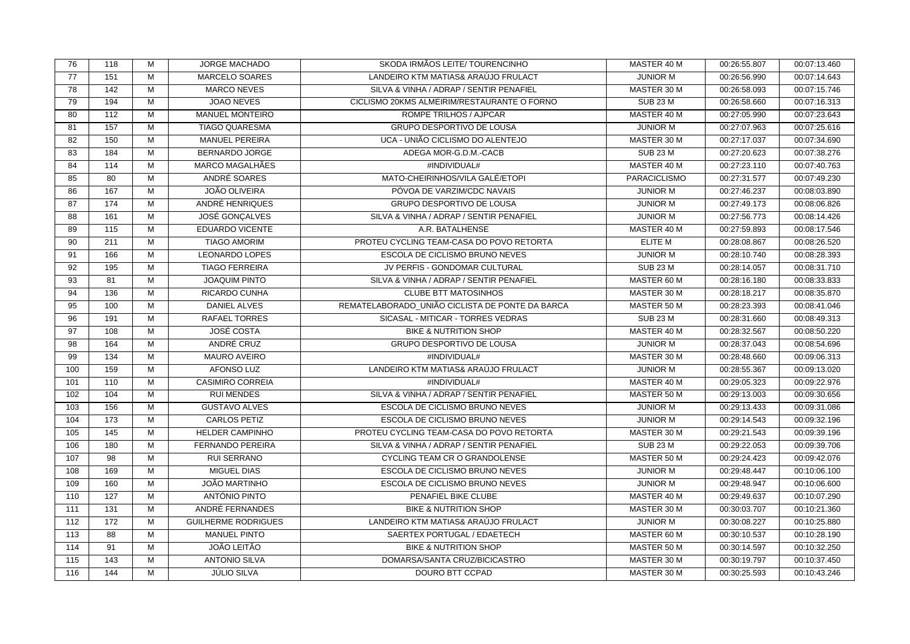| 76  | 118 | м                       | <b>JORGE MACHADO</b>       | SKODA IRMÃOS LEITE/ TOURENCINHO                 | MASTER 40 M         | 00:26:55.807 | 00:07:13.460 |
|-----|-----|-------------------------|----------------------------|-------------------------------------------------|---------------------|--------------|--------------|
| 77  | 151 | М                       | <b>MARCELO SOARES</b>      | LANDEIRO KTM MATIAS& ARAÚJO FRULACT             | <b>JUNIOR M</b>     | 00:26:56.990 | 00:07:14.643 |
| 78  | 142 | М                       | <b>MARCO NEVES</b>         | SILVA & VINHA / ADRAP / SENTIR PENAFIEL         | MASTER 30 M         | 00:26:58.093 | 00:07:15.746 |
| 79  | 194 | М                       | JOAO NEVES                 | CICLISMO 20KMS ALMEIRIM/RESTAURANTE O FORNO     | <b>SUB 23 M</b>     | 00:26:58.660 | 00:07:16.313 |
| 80  | 112 | М                       | <b>MANUEL MONTEIRO</b>     | ROMPE TRILHOS / AJPCAR                          | MASTER 40 M         | 00:27:05.990 | 00:07:23.643 |
| 81  | 157 | M                       | <b>TIAGO QUARESMA</b>      | <b>GRUPO DESPORTIVO DE LOUSA</b>                | <b>JUNIOR M</b>     | 00:27:07.963 | 00:07:25.616 |
| 82  | 150 | М                       | <b>MANUEL PEREIRA</b>      | UCA - UNIÃO CICLISMO DO ALENTEJO                | MASTER 30 M         | 00:27:17.037 | 00:07:34.690 |
| 83  | 184 | M                       | BERNARDO JORGE             | ADEGA MOR-G.D.M.-CACB                           | <b>SUB 23 M</b>     | 00:27:20.623 | 00:07:38.276 |
| 84  | 114 | М                       | MARCO MAGALHÃES            | #INDIVIDUAL#                                    | MASTER 40 M         | 00:27:23.110 | 00:07:40.763 |
| 85  | 80  | М                       | ANDRÉ SOARES               | MATO-CHEIRINHOS/VILA GALÉ/ETOPI                 | <b>PARACICLISMO</b> | 00:27:31.577 | 00:07:49.230 |
| 86  | 167 | M                       | <b>JOÃO OLIVEIRA</b>       | PÓVOA DE VARZIM/CDC NAVAIS                      | <b>JUNIOR M</b>     | 00:27:46.237 | 00:08:03.890 |
| 87  | 174 | М                       | ANDRÉ HENRIQUES            | <b>GRUPO DESPORTIVO DE LOUSA</b>                | <b>JUNIOR M</b>     | 00:27:49.173 | 00:08:06.826 |
| 88  | 161 | М                       | <b>JOSÉ GONÇALVES</b>      | SILVA & VINHA / ADRAP / SENTIR PENAFIEL         | <b>JUNIOR M</b>     | 00:27:56.773 | 00:08:14.426 |
| 89  | 115 | М                       | EDUARDO VICENTE            | A.R. BATALHENSE                                 | MASTER 40 M         | 00:27:59.893 | 00:08:17.546 |
| 90  | 211 | М                       | <b>TIAGO AMORIM</b>        | PROTEU CYCLING TEAM-CASA DO POVO RETORTA        | <b>ELITE M</b>      | 00:28:08.867 | 00:08:26.520 |
| 91  | 166 | М                       | <b>LEONARDO LOPES</b>      | ESCOLA DE CICLISMO BRUNO NEVES                  | <b>JUNIOR M</b>     | 00:28:10.740 | 00:08:28.393 |
| 92  | 195 | М                       | <b>TIAGO FERREIRA</b>      | JV PERFIS - GONDOMAR CULTURAL                   | <b>SUB 23 M</b>     | 00:28:14.057 | 00:08:31.710 |
| 93  | 81  | $\overline{\mathsf{M}}$ | <b>JOAQUIM PINTO</b>       | SILVA & VINHA / ADRAP / SENTIR PENAFIEL         | MASTER 60 M         | 00:28:16.180 | 00:08:33.833 |
| 94  | 136 | М                       | RICARDO CUNHA              | <b>CLUBE BTT MATOSINHOS</b>                     | MASTER 30 M         | 00:28:18.217 | 00:08:35.870 |
| 95  | 100 | М                       | <b>DANIEL ALVES</b>        | REMATELABORADO UNIÃO CICLISTA DE PONTE DA BARCA | MASTER 50 M         | 00:28:23.393 | 00:08:41.046 |
| 96  | 191 | M                       | <b>RAFAEL TORRES</b>       | SICASAL - MITICAR - TORRES VEDRAS               | <b>SUB 23 M</b>     | 00:28:31.660 | 00:08:49.313 |
| 97  | 108 | M                       | <b>JOSÉ COSTA</b>          | <b>BIKE &amp; NUTRITION SHOP</b>                | MASTER 40 M         | 00:28:32.567 | 00:08:50.220 |
| 98  | 164 | M                       | ANDRÉ CRUZ                 | GRUPO DESPORTIVO DE LOUSA                       | <b>JUNIOR M</b>     | 00:28:37.043 | 00:08:54.696 |
| 99  | 134 | M                       | <b>MAURO AVEIRO</b>        | #INDIVIDUAL#                                    | MASTER 30 M         | 00:28:48.660 | 00:09:06.313 |
| 100 | 159 | М                       | <b>AFONSO LUZ</b>          | LANDEIRO KTM MATIAS& ARAÚJO FRULACT             | <b>JUNIOR M</b>     | 00:28:55.367 | 00:09:13.020 |
| 101 | 110 | М                       | <b>CASIMIRO CORREIA</b>    | #INDIVIDUAL#                                    | MASTER 40 M         | 00:29:05.323 | 00:09:22.976 |
| 102 | 104 | M                       | <b>RUI MENDES</b>          | SILVA & VINHA / ADRAP / SENTIR PENAFIEL         | MASTER 50 M         | 00:29:13.003 | 00:09:30.656 |
| 103 | 156 | М                       | <b>GUSTAVO ALVES</b>       | ESCOLA DE CICLISMO BRUNO NEVES                  | <b>JUNIOR M</b>     | 00:29:13.433 | 00:09:31.086 |
| 104 | 173 | М                       | <b>CARLOS PETIZ</b>        | <b>ESCOLA DE CICLISMO BRUNO NEVES</b>           | <b>JUNIOR M</b>     | 00:29:14.543 | 00:09:32.196 |
| 105 | 145 | M                       | <b>HELDER CAMPINHO</b>     | PROTEU CYCLING TEAM-CASA DO POVO RETORTA        | MASTER 30 M         | 00:29:21.543 | 00:09:39.196 |
| 106 | 180 | М                       | <b>FERNANDO PEREIRA</b>    | SILVA & VINHA / ADRAP / SENTIR PENAFIEL         | <b>SUB 23 M</b>     | 00:29:22.053 | 00:09:39.706 |
| 107 | 98  | M                       | <b>RUI SERRANO</b>         | CYCLING TEAM CR O GRANDOLENSE                   | MASTER 50 M         | 00:29:24.423 | 00:09:42.076 |
| 108 | 169 | М                       | <b>MIGUEL DIAS</b>         | ESCOLA DE CICLISMO BRUNO NEVES                  | <b>JUNIOR M</b>     | 00:29:48.447 | 00:10:06.100 |
| 109 | 160 | М                       | JOÃO MARTINHO              | ESCOLA DE CICLISMO BRUNO NEVES                  | <b>JUNIOR M</b>     | 00:29:48.947 | 00:10:06.600 |
| 110 | 127 | М                       | ANTÓNIO PINTO              | PENAFIEL BIKE CLUBE                             | MASTER 40 M         | 00:29:49.637 | 00:10:07.290 |
| 111 | 131 | $\overline{M}$          | ANDRÉ FERNANDES            | <b>BIKE &amp; NUTRITION SHOP</b>                | MASTER 30 M         | 00:30:03.707 | 00:10:21.360 |
| 112 | 172 | М                       | <b>GUILHERME RODRIGUES</b> | LANDEIRO KTM MATIAS& ARAÚJO FRULACT             | <b>JUNIOR M</b>     | 00:30:08.227 | 00:10:25.880 |
| 113 | 88  | М                       | <b>MANUEL PINTO</b>        | SAERTEX PORTUGAL / EDAETECH                     | MASTER 60 M         | 00:30:10.537 | 00:10:28.190 |
| 114 | 91  | М                       | <b>JOÃO LEITÃO</b>         | <b>BIKE &amp; NUTRITION SHOP</b>                | MASTER 50 M         | 00:30:14.597 | 00:10:32.250 |
| 115 | 143 | М                       | <b>ANTONIO SILVA</b>       | DOMARSA/SANTA CRUZ/BICICASTRO                   | MASTER 30 M         | 00:30:19.797 | 00:10:37.450 |
| 116 | 144 | М                       | <b>JÚLIO SILVA</b>         | DOURO BTT CCPAD                                 | MASTER 30 M         | 00:30:25.593 | 00:10:43.246 |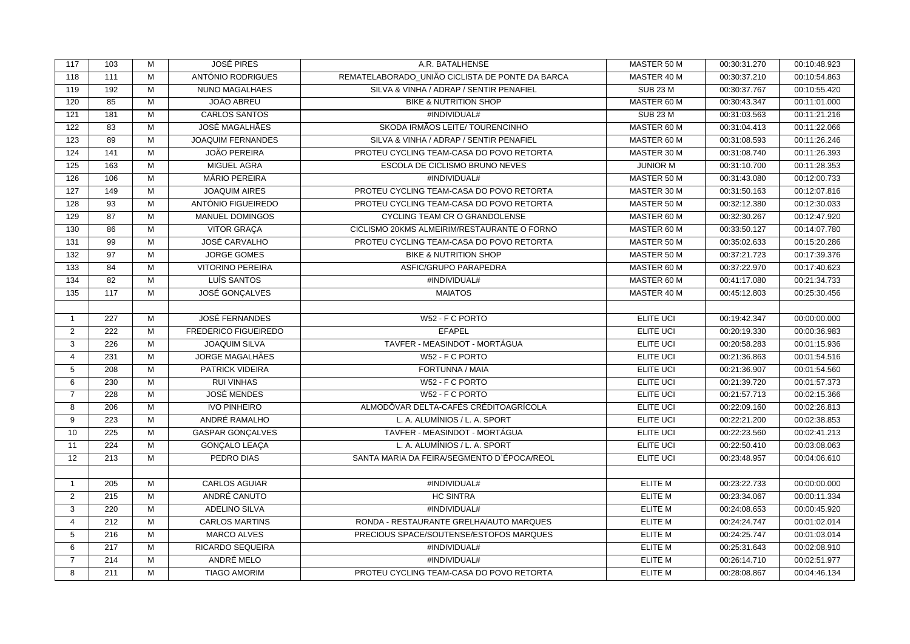| 117            | 103              | М                       | <b>JOSÉ PIRES</b>        | A.R. BATALHENSE                                 | MASTER 50 M      | 00:30:31.270 | 00:10:48.923 |
|----------------|------------------|-------------------------|--------------------------|-------------------------------------------------|------------------|--------------|--------------|
| 118            | 111              | М                       | ANTÓNIO RODRIGUES        | REMATELABORADO UNIÃO CICLISTA DE PONTE DA BARCA | MASTER 40 M      | 00:30:37.210 | 00:10:54.863 |
| 119            | 192              | М                       | NUNO MAGALHAES           | SILVA & VINHA / ADRAP / SENTIR PENAFIEL         | <b>SUB 23 M</b>  | 00:30:37.767 | 00:10:55.420 |
| 120            | 85               | $\overline{M}$          | JOÃO ABREU               | <b>BIKE &amp; NUTRITION SHOP</b>                | MASTER 60 M      | 00:30:43.347 | 00:11:01.000 |
| 121            | 181              | М                       | <b>CARLOS SANTOS</b>     | #INDIVIDUAL#                                    | <b>SUB 23 M</b>  | 00:31:03.563 | 00:11:21.216 |
| 122            | 83               | M                       | <b>JOSÉ MAGALHÃES</b>    | SKODA IRMÃOS LEITE/ TOURENCINHO                 | MASTER 60 M      | 00:31:04.413 | 00:11:22.066 |
| 123            | 89               | $\overline{M}$          | <b>JOAQUIM FERNANDES</b> | SILVA & VINHA / ADRAP / SENTIR PENAFIEL         | MASTER 60 M      | 00:31:08.593 | 00:11:26.246 |
| 124            | 141              | M                       | <b>JOÃO PEREIRA</b>      | PROTEU CYCLING TEAM-CASA DO POVO RETORTA        | MASTER 30 M      | 00:31:08.740 | 00:11:26.393 |
| 125            | 163              | М                       | MIGUEL AGRA              | ESCOLA DE CICLISMO BRUNO NEVES                  | <b>JUNIOR M</b>  | 00:31:10.700 | 00:11:28.353 |
| 126            | 106              | М                       | <b>MÁRIO PEREIRA</b>     | #INDIVIDUAL#                                    | MASTER 50 M      | 00:31:43.080 | 00:12:00.733 |
| 127            | 149              | M                       | <b>JOAQUIM AIRES</b>     | PROTEU CYCLING TEAM-CASA DO POVO RETORTA        | MASTER 30 M      | 00:31:50.163 | 00:12:07.816 |
| 128            | $\overline{93}$  | М                       | ANTÓNIO FIGUEIREDO       | PROTEU CYCLING TEAM-CASA DO POVO RETORTA        | MASTER 50 M      | 00:32:12.380 | 00:12:30.033 |
| 129            | 87               | М                       | <b>MANUEL DOMINGOS</b>   | CYCLING TEAM CR O GRANDOLENSE                   | MASTER 60 M      | 00:32:30.267 | 00:12:47.920 |
| 130            | 86               | М                       | VITOR GRAÇA              | CICLISMO 20KMS ALMEIRIM/RESTAURANTE O FORNO     | MASTER 60 M      | 00:33:50.127 | 00:14:07.780 |
| 131            | 99               | М                       | JOSÉ CARVALHO            | PROTEU CYCLING TEAM-CASA DO POVO RETORTA        | MASTER 50 M      | 00:35:02.633 | 00:15:20.286 |
| 132            | 97               | M                       | <b>JORGE GOMES</b>       | <b>BIKE &amp; NUTRITION SHOP</b>                | MASTER 50 M      | 00:37:21.723 | 00:17:39.376 |
| 133            | 84               | $\overline{\mathsf{M}}$ | <b>VITORINO PEREIRA</b>  | ASFIC/GRUPO PARAPEDRA                           | MASTER 60 M      | 00:37:22.970 | 00:17:40.623 |
| 134            | $\overline{82}$  | М                       | LUÍS SANTOS              | #INDIVIDUAL#                                    | MASTER 60 M      | 00:41:17.080 | 00:21:34.733 |
| 135            | 117              | М                       | <b>JOSÉ GONÇALVES</b>    | <b>MAIATOS</b>                                  | MASTER 40 M      | 00:45:12.803 | 00:25:30.456 |
|                |                  |                         |                          |                                                 |                  |              |              |
| $\overline{1}$ | 227              | М                       | <b>JOSÉ FERNANDES</b>    | W52 - F C PORTO                                 | <b>ELITE UCI</b> | 00:19:42.347 | 00:00:00.000 |
| 2              | 222              | M                       | FREDERICO FIGUEIREDO     | <b>EFAPEL</b>                                   | <b>ELITE UCI</b> | 00:20:19.330 | 00:00:36.983 |
| 3              | 226              | $\overline{\mathsf{M}}$ | <b>JOAQUIM SILVA</b>     | TAVFER - MEASINDOT - MORTÁGUA                   | <b>ELITE UCI</b> | 00:20:58.283 | 00:01:15.936 |
| $\overline{4}$ | 231              | М                       | <b>JORGE MAGALHÃES</b>   | W52 - F C PORTO                                 | <b>ELITE UCI</b> | 00:21:36.863 | 00:01:54.516 |
| 5              | 208              | М                       | PATRICK VIDEIRA          | FORTUNNA / MAIA                                 | <b>ELITE UCI</b> | 00:21:36.907 | 00:01:54.560 |
| 6              | 230              | $\overline{M}$          | <b>RUI VINHAS</b>        | W52 - F C PORTO                                 | <b>ELITE UCI</b> | 00:21:39.720 | 00:01:57.373 |
| $\overline{7}$ | 228              | М                       | <b>JOSÉ MENDES</b>       | W52 - F C PORTO                                 | <b>ELITE UCI</b> | 00:21:57.713 | 00:02:15.366 |
| 8              | 206              | М                       | <b>IVO PINHEIRO</b>      | ALMODÔVAR DELTA-CAFÉS CRÉDITOAGRÍCOLA           | <b>ELITE UCI</b> | 00:22:09.160 | 00:02:26.813 |
| 9              | 223              | М                       | ANDRÉ RAMALHO            | L. A. ALUMÍNIOS / L. A. SPORT                   | <b>ELITE UCI</b> | 00:22:21.200 | 00:02:38.853 |
| 10             | 225              | M                       | <b>GASPAR GONÇALVES</b>  | TAVFER - MEASINDOT - MORTÁGUA                   | <b>ELITE UCI</b> | 00:22:23.560 | 00:02:41.213 |
| 11             | $\overline{224}$ | $\overline{M}$          | <b>GONÇALO LEAÇA</b>     | L. A. ALUMÍNIOS / L. A. SPORT                   | <b>ELITE UCI</b> | 00:22:50.410 | 00:03:08.063 |
| 12             | 213              | М                       | PEDRO DIAS               | SANTA MARIA DA FEIRA/SEGMENTO D'ÉPOCA/REOL      | ELITE UCI        | 00:23:48.957 | 00:04:06.610 |
|                |                  |                         |                          |                                                 |                  |              |              |
| $\overline{1}$ | 205              | M                       | <b>CARLOS AGUIAR</b>     | #INDIVIDUAL#                                    | <b>ELITE M</b>   | 00:23:22.733 | 00:00:00.000 |
| 2              | 215              | M                       | ANDRÉ CANUTO             | <b>HC SINTRA</b>                                | <b>ELITE M</b>   | 00:23:34.067 | 00:00:11.334 |
| 3              | 220              | М                       | <b>ADELINO SILVA</b>     | #INDIVIDUAL#                                    | <b>ELITE M</b>   | 00:24:08.653 | 00:00:45.920 |
| $\overline{4}$ | 212              | $\overline{\mathsf{M}}$ | <b>CARLOS MARTINS</b>    | RONDA - RESTAURANTE GRELHA/AUTO MARQUES         | <b>ELITE M</b>   | 00:24:24.747 | 00:01:02.014 |
| 5              | 216              | М                       | <b>MARCO ALVES</b>       | PRECIOUS SPACE/SOUTENSE/ESTOFOS MARQUES         | ELITE M          | 00:24:25.747 | 00:01:03.014 |
| 6              | 217              | М                       | RICARDO SEQUEIRA         | #INDIVIDUAL#                                    | <b>ELITE M</b>   | 00:25:31.643 | 00:02:08.910 |
| $\overline{7}$ | 214              | М                       | ANDRÉ MELO               | #INDIVIDUAL#                                    | <b>ELITE M</b>   | 00:26:14.710 | 00:02:51.977 |
| 8              | 211              | $\overline{M}$          | <b>TIAGO AMORIM</b>      | PROTEU CYCLING TEAM-CASA DO POVO RETORTA        | <b>ELITE M</b>   | 00:28:08.867 | 00:04:46.134 |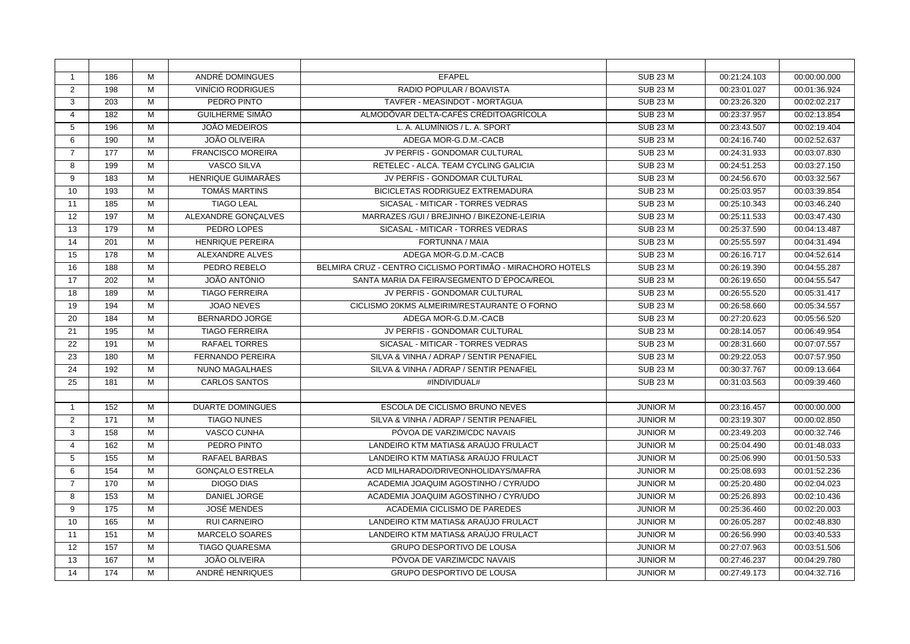| $\mathbf{1}$   | 186 | M              | ANDRÉ DOMINGUES          | <b>EFAPEL</b>                                              | <b>SUB 23 M</b> | 00:21:24.103 | 00:00:00.000 |
|----------------|-----|----------------|--------------------------|------------------------------------------------------------|-----------------|--------------|--------------|
| $\overline{2}$ | 198 | M              | <b>VINÍCIO RODRIGUES</b> | RADIO POPULAR / BOAVISTA                                   | <b>SUB 23 M</b> | 00:23:01.027 | 00:01:36.924 |
| 3              | 203 | M              | PEDRO PINTO              | TAVFER - MEASINDOT - MORTÁGUA                              | <b>SUB 23 M</b> | 00:23:26.320 | 00:02:02.217 |
| 4              | 182 | M              | <b>GUILHERME SIMÃO</b>   | ALMODÔVAR DELTA-CAFÉS CRÉDITOAGRÍCOLA                      | <b>SUB 23 M</b> | 00:23:37.957 | 00:02:13.854 |
| 5              | 196 | M              | <b>JOÃO MEDEIROS</b>     | L. A. ALUMÍNIOS / L. A. SPORT                              | <b>SUB 23 M</b> | 00:23:43.507 | 00:02:19.404 |
| 6              | 190 | M              | <b>JOÃO OLIVEIRA</b>     | ADEGA MOR-G.D.M.-CACB                                      | <b>SUB 23 M</b> | 00:24:16.740 | 00:02:52.637 |
| $\overline{7}$ | 177 | M              | <b>FRANCISCO MOREIRA</b> | JV PERFIS - GONDOMAR CULTURAL                              | <b>SUB 23 M</b> | 00:24:31.933 | 00:03:07.830 |
| 8              | 199 | M              | <b>VASCO SILVA</b>       | RETELEC - ALCA. TEAM CYCLING GALICIA                       | <b>SUB 23 M</b> | 00:24:51.253 | 00:03:27.150 |
| 9              | 183 | M              | HENRIQUE GUIMARÃES       | JV PERFIS - GONDOMAR CULTURAL                              | <b>SUB 23 M</b> | 00:24:56.670 | 00:03:32.567 |
| 10             | 193 | M              | <b>TOMÁS MARTINS</b>     | BICICLETAS RODRIGUEZ EXTREMADURA                           | <b>SUB 23 M</b> | 00:25:03.957 | 00:03:39.854 |
| 11             | 185 | $\overline{M}$ | <b>TIAGO LEAL</b>        | SICASAL - MITICAR - TORRES VEDRAS                          | <b>SUB 23 M</b> | 00:25:10.343 | 00:03:46.240 |
| 12             | 197 | M              | ALEXANDRE GONÇALVES      | MARRAZES / GUI / BREJINHO / BIKEZONE-LEIRIA                | <b>SUB 23 M</b> | 00:25:11.533 | 00:03:47.430 |
| 13             | 179 | M              | PEDRO LOPES              | SICASAL - MITICAR - TORRES VEDRAS                          | <b>SUB 23 M</b> | 00:25:37.590 | 00:04:13.487 |
| 14             | 201 | M              | <b>HENRIQUE PEREIRA</b>  | FORTUNNA / MAIA                                            | <b>SUB 23 M</b> | 00:25:55.597 | 00:04:31.494 |
| 15             | 178 | M              | <b>ALEXANDRE ALVES</b>   | ADEGA MOR-G.D.M.-CACB                                      | <b>SUB 23 M</b> | 00:26:16.717 | 00:04:52.614 |
| 16             | 188 | M              | PEDRO REBELO             | BELMIRA CRUZ - CENTRO CICLISMO PORTIMÃO - MIRACHORO HOTELS | <b>SUB 23 M</b> | 00:26:19.390 | 00:04:55.287 |
| 17             | 202 | M              | JOÃO ANTÓNIO             | SANTA MARIA DA FEIRA/SEGMENTO D'ÉPOCA/REOL                 | <b>SUB 23 M</b> | 00:26:19.650 | 00:04:55.547 |
| 18             | 189 | M              | <b>TIAGO FERREIRA</b>    | JV PERFIS - GONDOMAR CULTURAL                              | <b>SUB 23 M</b> | 00:26:55.520 | 00:05:31.417 |
| 19             | 194 | M              | <b>JOAO NEVES</b>        | CICLISMO 20KMS ALMEIRIM/RESTAURANTE O FORNO                | <b>SUB 23 M</b> | 00:26:58.660 | 00:05:34.557 |
| 20             | 184 | M              | <b>BERNARDO JORGE</b>    | ADEGA MOR-G.D.M.-CACB                                      | <b>SUB 23 M</b> | 00:27:20.623 | 00:05:56.520 |
| 21             | 195 | M              | <b>TIAGO FERREIRA</b>    | JV PERFIS - GONDOMAR CULTURAL                              | <b>SUB 23 M</b> | 00:28:14.057 | 00:06:49.954 |
| 22             | 191 | M              | <b>RAFAEL TORRES</b>     | SICASAL - MITICAR - TORRES VEDRAS                          | <b>SUB 23 M</b> | 00:28:31.660 | 00:07:07.557 |
| 23             | 180 | M              | <b>FERNANDO PEREIRA</b>  | SILVA & VINHA / ADRAP / SENTIR PENAFIEL                    | <b>SUB 23 M</b> | 00:29:22.053 | 00:07:57.950 |
| 24             | 192 | M              | <b>NUNO MAGALHAES</b>    | SILVA & VINHA / ADRAP / SENTIR PENAFIEL                    | <b>SUB 23 M</b> | 00:30:37.767 | 00:09:13.664 |
| 25             | 181 | $\overline{M}$ | <b>CARLOS SANTOS</b>     | #INDIVIDUAL#                                               | <b>SUB 23 M</b> | 00:31:03.563 | 00:09:39.460 |
|                |     |                |                          |                                                            |                 |              |              |
| -1             | 152 | M              | <b>DUARTE DOMINGUES</b>  | <b>ESCOLA DE CICLISMO BRUNO NEVES</b>                      | <b>JUNIOR M</b> | 00:23:16.457 | 00:00:00.000 |
| $\overline{2}$ | 171 | M              | <b>TIAGO NUNES</b>       | SILVA & VINHA / ADRAP / SENTIR PENAFIEL                    | <b>JUNIOR M</b> | 00:23:19.307 | 00:00:02.850 |
| 3              | 158 | M              | <b>VASCO CUNHA</b>       | PÓVOA DE VARZIM/CDC NAVAIS                                 | <b>JUNIOR M</b> | 00:23:49.203 | 00:00:32.746 |
| $\overline{4}$ | 162 | M              | PEDRO PINTO              | LANDEIRO KTM MATIAS& ARAÚJO FRULACT                        | <b>JUNIOR M</b> | 00:25:04.490 | 00:01:48.033 |
| 5              | 155 | M              | <b>RAFAEL BARBAS</b>     | LANDEIRO KTM MATIAS& ARAÚJO FRULACT                        | <b>JUNIOR M</b> | 00:25:06.990 | 00:01:50.533 |
| 6              | 154 | $\overline{M}$ | <b>GONÇALO ESTRELA</b>   | ACD MILHARADO/DRIVEONHOLIDAYS/MAFRA                        | <b>JUNIOR M</b> | 00:25:08.693 | 00:01:52.236 |
| $\overline{7}$ | 170 | M              | <b>DIOGO DIAS</b>        | ACADEMIA JOAQUIM AGOSTINHO / CYR/UDO                       | <b>JUNIOR M</b> | 00:25:20.480 | 00:02:04.023 |
| 8              | 153 | M              | <b>DANIEL JORGE</b>      | ACADEMIA JOAQUIM AGOSTINHO / CYR/UDO                       | <b>JUNIOR M</b> | 00:25:26.893 | 00:02:10.436 |
| 9              | 175 | M              | <b>JOSÉ MENDES</b>       | ACADEMIA CICLISMO DE PAREDES                               | <b>JUNIOR M</b> | 00:25:36.460 | 00:02:20.003 |
| 10             | 165 | $\overline{M}$ | <b>RUI CARNEIRO</b>      | LANDEIRO KTM MATIAS& ARAÚJO FRULACT                        | <b>JUNIOR M</b> | 00:26:05.287 | 00:02:48.830 |
| 11             | 151 | M              | <b>MARCELO SOARES</b>    | LANDEIRO KTM MATIAS& ARAÚJO FRULACT                        | <b>JUNIOR M</b> | 00:26:56.990 | 00:03:40.533 |
| 12             | 157 | M              | <b>TIAGO QUARESMA</b>    | <b>GRUPO DESPORTIVO DE LOUSA</b>                           | <b>JUNIOR M</b> | 00:27:07.963 | 00:03:51.506 |
| 13             | 167 | M              | <b>JOÃO OLIVEIRA</b>     | PÓVOA DE VARZIM/CDC NAVAIS                                 | <b>JUNIOR M</b> | 00:27:46.237 | 00:04:29.780 |
| 14             | 174 | M              | ANDRÉ HENRIQUES          | <b>GRUPO DESPORTIVO DE LOUSA</b>                           | <b>JUNIOR M</b> | 00:27:49.173 | 00:04:32.716 |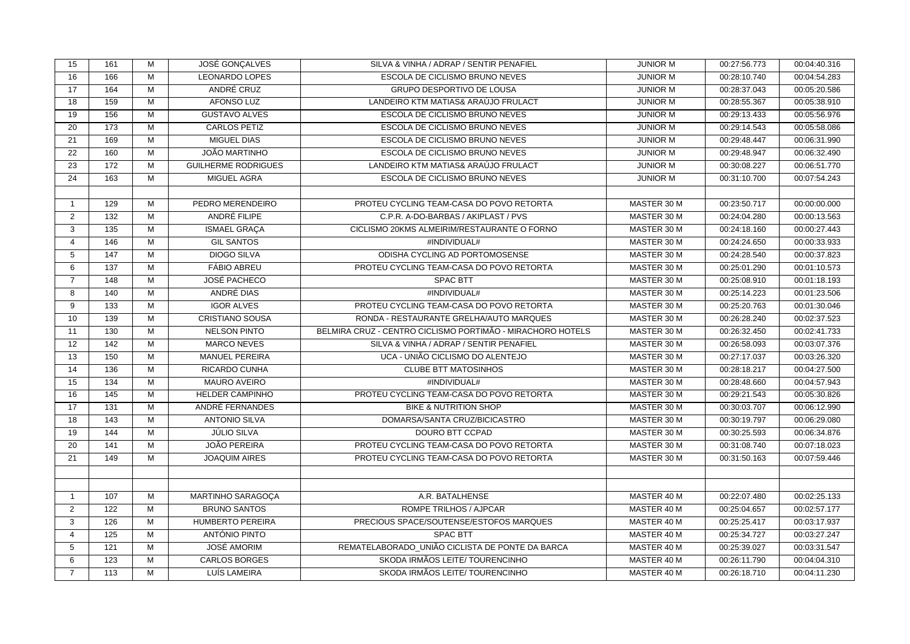| 15              | 161 | М              | JOSÉ GONÇALVES             | SILVA & VINHA / ADRAP / SENTIR PENAFIEL                    | <b>JUNIOR M</b> | 00:27:56.773 | 00:04:40.316 |
|-----------------|-----|----------------|----------------------------|------------------------------------------------------------|-----------------|--------------|--------------|
| 16              | 166 | M              | <b>LEONARDO LOPES</b>      | ESCOLA DE CICLISMO BRUNO NEVES                             | <b>JUNIOR M</b> | 00:28:10.740 | 00:04:54.283 |
| 17              | 164 | M              | ANDRÉ CRUZ                 | GRUPO DESPORTIVO DE LOUSA                                  | <b>JUNIOR M</b> | 00:28:37.043 | 00:05:20.586 |
| 18              | 159 | М              | <b>AFONSO LUZ</b>          | LANDEIRO KTM MATIAS& ARAÚJO FRULACT                        | <b>JUNIOR M</b> | 00:28:55.367 | 00:05:38.910 |
| 19              | 156 | М              | <b>GUSTAVO ALVES</b>       | ESCOLA DE CICLISMO BRUNO NEVES                             | <b>JUNIOR M</b> | 00:29:13.433 | 00:05:56.976 |
| 20              | 173 | M              | <b>CARLOS PETIZ</b>        | ESCOLA DE CICLISMO BRUNO NEVES                             | <b>JUNIOR M</b> | 00:29:14.543 | 00:05:58.086 |
| 21              | 169 | $\overline{M}$ | <b>MIGUEL DIAS</b>         | ESCOLA DE CICLISMO BRUNO NEVES                             | <b>JUNIOR M</b> | 00:29:48.447 | 00:06:31.990 |
| 22              | 160 | M              | <b>JOÃO MARTINHO</b>       | ESCOLA DE CICLISMO BRUNO NEVES                             | <b>JUNIOR M</b> | 00:29:48.947 | 00:06:32.490 |
| 23              | 172 | М              | <b>GUILHERME RODRIGUES</b> | LANDEIRO KTM MATIAS& ARAÚJO FRULACT                        | <b>JUNIOR M</b> | 00:30:08.227 | 00:06:51.770 |
| 24              | 163 | М              | MIGUEL AGRA                | ESCOLA DE CICLISMO BRUNO NEVES                             | <b>JUNIOR M</b> | 00:31:10.700 | 00:07:54.243 |
|                 |     |                |                            |                                                            |                 |              |              |
| $\mathbf{1}$    | 129 | M              | PEDRO MERENDEIRO           | PROTEU CYCLING TEAM-CASA DO POVO RETORTA                   | MASTER 30 M     | 00:23:50.717 | 00:00:00.000 |
| $\overline{2}$  | 132 | M              | ANDRÉ FILIPE               | C.P.R. A-DO-BARBAS / AKIPLAST / PVS                        | MASTER 30 M     | 00:24:04.280 | 00:00:13.563 |
| 3               | 135 | M              | ISMAEL GRAÇA               | CICLISMO 20KMS ALMEIRIM/RESTAURANTE O FORNO                | MASTER 30 M     | 00:24:18.160 | 00:00:27.443 |
| $\overline{4}$  | 146 | M              | <b>GIL SANTOS</b>          | #INDIVIDUAL#                                               | MASTER 30 M     | 00:24:24.650 | 00:00:33.933 |
| 5               | 147 | M              | <b>DIOGO SILVA</b>         | ODISHA CYCLING AD PORTOMOSENSE                             | MASTER 30 M     | 00:24:28.540 | 00:00:37.823 |
| 6               | 137 | M              | <b>FÁBIO ABREU</b>         | PROTEU CYCLING TEAM-CASA DO POVO RETORTA                   | MASTER 30 M     | 00:25:01.290 | 00:01:10.573 |
| $\overline{7}$  | 148 | M              | <b>JOSÉ PACHECO</b>        | SPAC BTT                                                   | MASTER 30 M     | 00:25:08.910 | 00:01:18.193 |
| 8               | 140 | М              | ANDRÉ DIAS                 | #INDIVIDUAL#                                               | MASTER 30 M     | 00:25:14.223 | 00:01:23.506 |
| 9               | 133 | M              | <b>IGOR ALVES</b>          | PROTEU CYCLING TEAM-CASA DO POVO RETORTA                   | MASTER 30 M     | 00:25:20.763 | 00:01:30.046 |
| 10              | 139 | M              | <b>CRISTIANO SOUSA</b>     | RONDA - RESTAURANTE GRELHA/AUTO MARQUES                    | MASTER 30 M     | 00:26:28.240 | 00:02:37.523 |
| 11              | 130 | M              | <b>NELSON PINTO</b>        | BELMIRA CRUZ - CENTRO CICLISMO PORTIMÃO - MIRACHORO HOTELS | MASTER 30 M     | 00:26:32.450 | 00:02:41.733 |
| $\overline{12}$ | 142 | М              | <b>MARCO NEVES</b>         | SILVA & VINHA / ADRAP / SENTIR PENAFIEL                    | MASTER 30 M     | 00:26:58.093 | 00:03:07.376 |
| 13              | 150 | M              | <b>MANUEL PEREIRA</b>      | UCA - UNIÃO CICLISMO DO ALENTEJO                           | MASTER 30 M     | 00:27:17.037 | 00:03:26.320 |
| 14              | 136 | M              | RICARDO CUNHA              | <b>CLUBE BTT MATOSINHOS</b>                                | MASTER 30 M     | 00:28:18.217 | 00:04:27.500 |
| 15              | 134 | M              | <b>MAURO AVEIRO</b>        | #INDIVIDUAL#                                               | MASTER 30 M     | 00:28:48.660 | 00:04:57.943 |
| 16              | 145 | M              | <b>HELDER CAMPINHO</b>     | PROTEU CYCLING TEAM-CASA DO POVO RETORTA                   | MASTER 30 M     | 00:29:21.543 | 00:05:30.826 |
| 17              | 131 | M              | ANDRÉ FERNANDES            | <b>BIKE &amp; NUTRITION SHOP</b>                           | MASTER 30 M     | 00:30:03.707 | 00:06:12.990 |
| 18              | 143 | М              | <b>ANTONIO SILVA</b>       | DOMARSA/SANTA CRUZ/BICICASTRO                              | MASTER 30 M     | 00:30:19.797 | 00:06:29.080 |
| 19              | 144 | M              | <b>JÚLIO SILVA</b>         | DOURO BTT CCPAD                                            | MASTER 30 M     | 00:30:25.593 | 00:06:34.876 |
| 20              | 141 | M              | <b>JOÃO PEREIRA</b>        | PROTEU CYCLING TEAM-CASA DO POVO RETORTA                   | MASTER 30 M     | 00:31:08.740 | 00:07:18.023 |
| 21              | 149 | M              | <b>JOAQUIM AIRES</b>       | PROTEU CYCLING TEAM-CASA DO POVO RETORTA                   | MASTER 30 M     | 00:31:50.163 | 00:07:59.446 |
|                 |     |                |                            |                                                            |                 |              |              |
|                 |     |                |                            |                                                            |                 |              |              |
| $\mathbf{1}$    | 107 | M              | MARTINHO SARAGOÇA          | A.R. BATALHENSE                                            | MASTER 40 M     | 00:22:07.480 | 00:02:25.133 |
| $\overline{2}$  | 122 | M              | <b>BRUNO SANTOS</b>        | ROMPE TRILHOS / AJPCAR                                     | MASTER 40 M     | 00:25:04.657 | 00:02:57.177 |
| 3               | 126 | М              | <b>HUMBERTO PEREIRA</b>    | PRECIOUS SPACE/SOUTENSE/ESTOFOS MARQUES                    | MASTER 40 M     | 00:25:25.417 | 00:03:17.937 |
| $\overline{4}$  | 125 | M              | ANTÓNIO PINTO              | <b>SPAC BTT</b>                                            | MASTER 40 M     | 00:25:34.727 | 00:03:27.247 |
| 5               | 121 | M              | <b>JOSÉ AMORIM</b>         | REMATELABORADO UNIÃO CICLISTA DE PONTE DA BARCA            | MASTER 40 M     | 00:25:39.027 | 00:03:31.547 |
| 6               | 123 | M              | <b>CARLOS BORGES</b>       | SKODA IRMÃOS LEITE/ TOURENCINHO                            | MASTER 40 M     | 00:26:11.790 | 00:04:04.310 |
| $\overline{7}$  | 113 | $\overline{M}$ | LUÍS LAMEIRA               | SKODA IRMÃOS LEITE/ TOURENCINHO                            | MASTER 40 M     | 00:26:18.710 | 00:04:11.230 |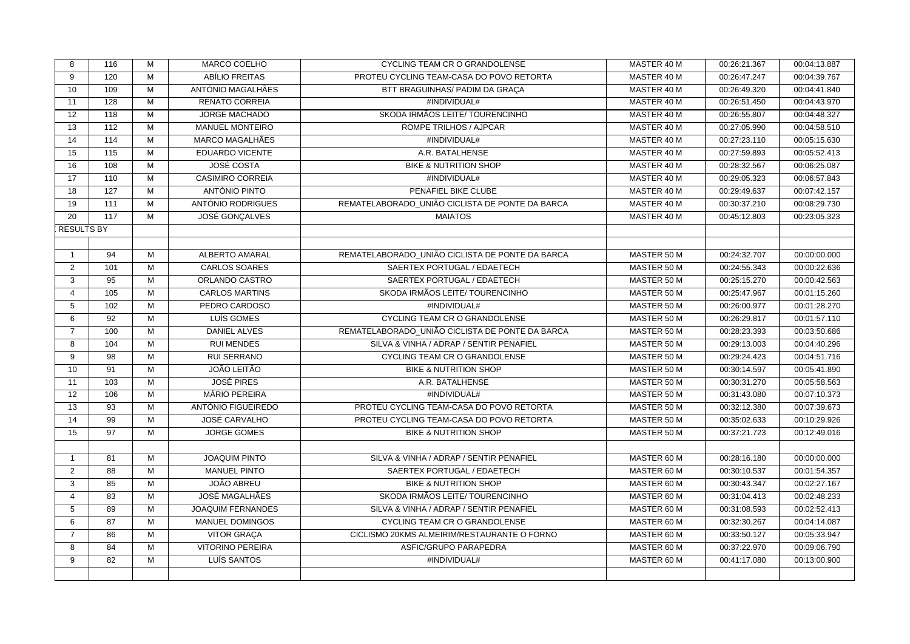| 8                 | 116              | M              | MARCO COELHO             | CYCLING TEAM CR O GRANDOLENSE                   | MASTER 40 M | 00:26:21.367 | 00:04:13.887 |
|-------------------|------------------|----------------|--------------------------|-------------------------------------------------|-------------|--------------|--------------|
| 9                 | 120              | M              | ABÍLIO FREITAS           | PROTEU CYCLING TEAM-CASA DO POVO RETORTA        | MASTER 40 M | 00:26:47.247 | 00:04:39.767 |
| 10                | 109              | M              | ANTÓNIO MAGALHÃES        | BTT BRAGUINHAS/ PADIM DA GRAÇA                  | MASTER 40 M | 00:26:49.320 | 00:04:41.840 |
| 11                | 128              | M              | <b>RENATO CORREIA</b>    | #INDIVIDUAL#                                    | MASTER 40 M | 00:26:51.450 | 00:04:43.970 |
| 12                | 118              | M              | <b>JORGE MACHADO</b>     | SKODA IRMÃOS LEITE/ TOURENCINHO                 | MASTER 40 M | 00:26:55.807 | 00:04:48.327 |
| 13                | 112              | M              | <b>MANUEL MONTEIRO</b>   | ROMPE TRILHOS / AJPCAR                          | MASTER 40 M | 00:27:05.990 | 00:04:58.510 |
| 14                | 114              | $\overline{M}$ | <b>MARCO MAGALHÃES</b>   | #INDIVIDUAL#                                    | MASTER 40 M | 00:27:23.110 | 00:05:15.630 |
| 15                | 115              | M              | EDUARDO VICENTE          | A.R. BATALHENSE                                 | MASTER 40 M | 00:27:59.893 | 00:05:52.413 |
| 16                | 108              | M              | <b>JOSÉ COSTA</b>        | <b>BIKE &amp; NUTRITION SHOP</b>                | MASTER 40 M | 00:28:32.567 | 00:06:25.087 |
| 17                | 110              | M              | <b>CASIMIRO CORREIA</b>  | #INDIVIDUAL#                                    | MASTER 40 M | 00:29:05.323 | 00:06:57.843 |
| 18                | $\overline{127}$ | M              | ANTÓNIO PINTO            | PENAFIEL BIKE CLUBE                             | MASTER 40 M | 00:29:49.637 | 00:07:42.157 |
| 19                | 111              | M              | ANTÓNIO RODRIGUES        | REMATELABORADO_UNIÃO CICLISTA DE PONTE DA BARCA | MASTER 40 M | 00:30:37.210 | 00:08:29.730 |
| 20                | 117              | M              | <b>JOSÉ GONÇALVES</b>    | <b>MAIATOS</b>                                  | MASTER 40 M | 00:45:12.803 | 00:23:05.323 |
| <b>RESULTS BY</b> |                  |                |                          |                                                 |             |              |              |
|                   |                  |                |                          |                                                 |             |              |              |
| $\overline{1}$    | 94               | M              | <b>ALBERTO AMARAL</b>    | REMATELABORADO UNIÃO CICLISTA DE PONTE DA BARCA | MASTER 50 M | 00:24:32.707 | 00:00:00.000 |
| 2                 | 101              | M              | <b>CARLOS SOARES</b>     | SAERTEX PORTUGAL / EDAETECH                     | MASTER 50 M | 00:24:55.343 | 00:00:22.636 |
| 3                 | 95               | M              | ORLANDO CASTRO           | SAERTEX PORTUGAL / EDAETECH                     | MASTER 50 M | 00:25:15.270 | 00:00:42.563 |
| $\overline{4}$    | 105              | M              | <b>CARLOS MARTINS</b>    | SKODA IRMÃOS LEITE/ TOURENCINHO                 | MASTER 50 M | 00:25:47.967 | 00:01:15.260 |
| 5                 | 102              | M              | PEDRO CARDOSO            | #INDIVIDUAL#                                    | MASTER 50 M | 00:26:00.977 | 00:01:28.270 |
| 6                 | 92               | M              | LUÍS GOMES               | CYCLING TEAM CR O GRANDOLENSE                   | MASTER 50 M | 00:26:29.817 | 00:01:57.110 |
| $\overline{7}$    | 100              | M              | <b>DANIEL ALVES</b>      | REMATELABORADO UNIÃO CICLISTA DE PONTE DA BARCA | MASTER 50 M | 00:28:23.393 | 00:03:50.686 |
| 8                 | 104              | M              | <b>RUI MENDES</b>        | SILVA & VINHA / ADRAP / SENTIR PENAFIEL         | MASTER 50 M | 00:29:13.003 | 00:04:40.296 |
| 9                 | 98               | M              | <b>RUI SERRANO</b>       | CYCLING TEAM CR O GRANDOLENSE                   | MASTER 50 M | 00:29:24.423 | 00:04:51.716 |
| 10                | 91               | $\overline{M}$ | JOÃO LEITÃO              | <b>BIKE &amp; NUTRITION SHOP</b>                | MASTER 50 M | 00:30:14.597 | 00:05:41.890 |
| 11                | 103              | M              | <b>JOSÉ PIRES</b>        | A.R. BATALHENSE                                 | MASTER 50 M | 00:30:31.270 | 00:05:58.563 |
| 12                | 106              | M              | MÁRIO PEREIRA            | #INDIVIDUAL#                                    | MASTER 50 M | 00:31:43.080 | 00:07:10.373 |
| 13                | 93               | M              | ANTÓNIO FIGUEIREDO       | PROTEU CYCLING TEAM-CASA DO POVO RETORTA        | MASTER 50 M | 00:32:12.380 | 00:07:39.673 |
| 14                | 99               | $\overline{M}$ | <b>JOSÉ CARVALHO</b>     | PROTEU CYCLING TEAM-CASA DO POVO RETORTA        | MASTER 50 M | 00:35:02.633 | 00:10:29.926 |
| 15                | 97               | M              | <b>JORGE GOMES</b>       | BIKE & NUTRITION SHOP                           | MASTER 50 M | 00:37:21.723 | 00:12:49.016 |
|                   |                  |                |                          |                                                 |             |              |              |
| $\mathbf{1}$      | 81               | M              | JOAQUIM PINTO            | SILVA & VINHA / ADRAP / SENTIR PENAFIEL         | MASTER 60 M | 00:28:16.180 | 00:00:00.000 |
| 2                 | 88               | M              | <b>MANUEL PINTO</b>      | SAERTEX PORTUGAL / EDAETECH                     | MASTER 60 M | 00:30:10.537 | 00:01:54.357 |
| 3                 | 85               | M              | JOÃO ABREU               | BIKE & NUTRITION SHOP                           | MASTER 60 M | 00:30:43.347 | 00:02:27.167 |
| $\overline{4}$    | 83               | M              | JOSÉ MAGALHÃES           | SKODA IRMÃOS LEITE/ TOURENCINHO                 | MASTER 60 M | 00:31:04.413 | 00:02:48.233 |
| 5                 | 89               | M              | <b>JOAQUIM FERNANDES</b> | SILVA & VINHA / ADRAP / SENTIR PENAFIEL         | MASTER 60 M | 00:31:08.593 | 00:02:52.413 |
| 6                 | 87               | M              | MANUEL DOMINGOS          | CYCLING TEAM CR O GRANDOLENSE                   | MASTER 60 M | 00:32:30.267 | 00:04:14.087 |
| $\overline{7}$    | 86               | M              | <b>VITOR GRAÇA</b>       | CICLISMO 20KMS ALMEIRIM/RESTAURANTE O FORNO     | MASTER 60 M | 00:33:50.127 | 00:05:33.947 |
| 8                 | 84               | M              | <b>VITORINO PEREIRA</b>  | ASFIC/GRUPO PARAPEDRA                           | MASTER 60 M | 00:37:22.970 | 00:09:06.790 |
| 9                 | 82               | M              | LUÍS SANTOS              | #INDIVIDUAL#                                    | MASTER 60 M | 00:41:17.080 | 00:13:00.900 |
|                   |                  |                |                          |                                                 |             |              |              |